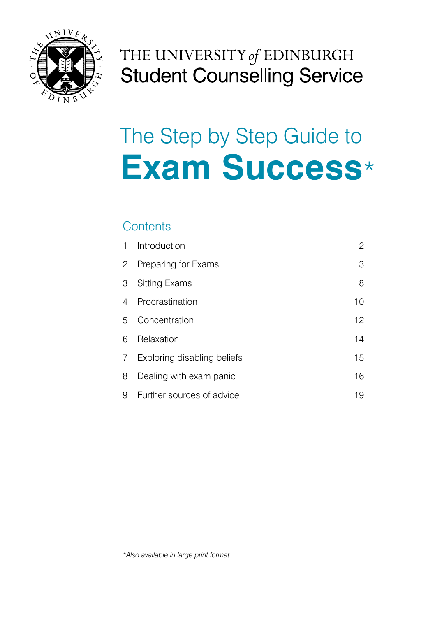

## THE UNIVERSITY of EDINBURGH **Student Counselling Service**

# The Step by Step Guide to **Exam Success**\*

### **Contents**

| 1 | Introduction                | 2  |
|---|-----------------------------|----|
| 2 | Preparing for Exams         | 3  |
| 3 | <b>Sitting Exams</b>        | 8  |
| 4 | Procrastination             | 10 |
| 5 | Concentration               | 12 |
| 6 | Relaxation                  | 14 |
| 7 | Exploring disabling beliefs | 15 |
| 8 | Dealing with exam panic     | 16 |
| 9 | Further sources of advice   | 19 |

*\*Also available in large print format*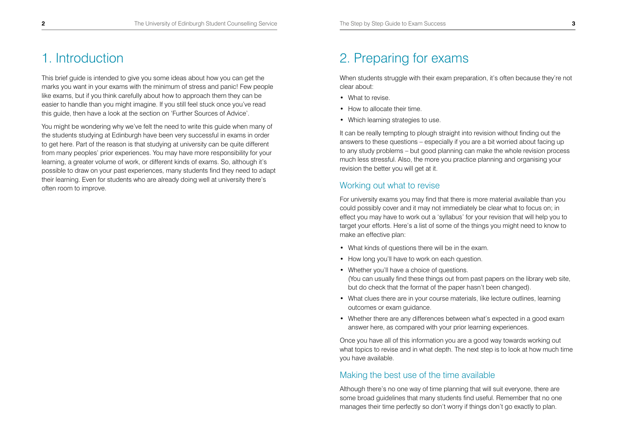## 1. Introduction

This brief guide is intended to give you some ideas about how you can get the marks you want in your exams with the minimum of stress and panic! Few people like exams, but if you think carefully about how to approach them they can be easier to handle than you might imagine. If you still feel stuck once you've read this guide, then have a look at the section on 'Further Sources of Advice'.

You might be wondering why we've felt the need to write this guide when many of the students studying at Edinburgh have been very successful in exams in order to get here. Part of the reason is that studying at university can be quite different from many peoples' prior experiences. You may have more responsibility for your learning, a greater volume of work, or different kinds of exams. So, although it's possible to draw on your past experiences, many students find they need to adapt their learning. Even for students who are already doing well at university there's often room to improve.

## 2. Preparing for exams

When students struggle with their exam preparation, it's often because they're not clear about:

- What to revise.
- How to allocate their time.
- Which learning strategies to use.

It can be really tempting to plough straight into revision without finding out the answers to these questions – especially if you are a bit worried about facing up to any study problems – but good planning can make the whole revision process much less stressful. Also, the more you practice planning and organising your revision the better you will get at it.

### Working out what to revise

For university exams you may find that there is more material available than you could possibly cover and it may not immediately be clear what to focus on; in effect you may have to work out a 'syllabus' for your revision that will help you to target your efforts. Here's a list of some of the things you might need to know to make an effective plan:

- What kinds of questions there will be in the exam.
- How long you'll have to work on each question.
- Whether you'll have a choice of questions. (You can usually find these things out from past papers on the library web site, but do check that the format of the paper hasn't been changed).
- What clues there are in your course materials, like lecture outlines, learning outcomes or exam guidance.
- Whether there are any differences between what's expected in a good exam answer here, as compared with your prior learning experiences.

Once you have all of this information you are a good way towards working out what topics to revise and in what depth. The next step is to look at how much time you have available.

#### Making the best use of the time available

Although there's no one way of time planning that will suit everyone, there are some broad guidelines that many students find useful. Remember that no one manages their time perfectly so don't worry if things don't go exactly to plan.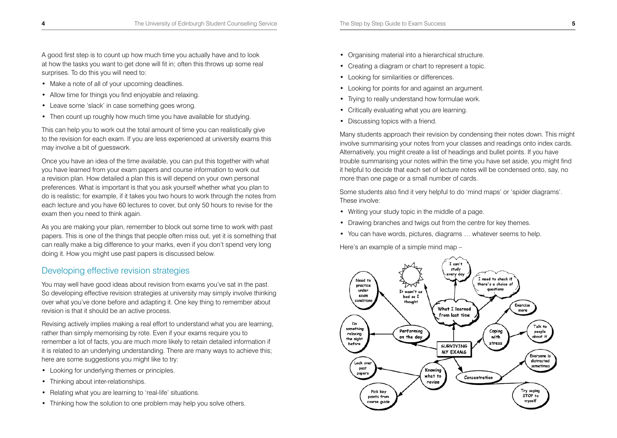- Make a note of all of your upcoming deadlines.
- Allow time for things you find enjoyable and relaxing.
- Leave some 'slack' in case something goes wrong.
- Then count up roughly how much time you have available for studying.

This can help you to work out the total amount of time you can realistically give to the revision for each exam. If you are less experienced at university exams this may involve a bit of guesswork.

Once you have an idea of the time available, you can put this together with what you have learned from your exam papers and course information to work out a revision plan. How detailed a plan this is will depend on your own personal preferences. What is important is that you ask yourself whether what you plan to do is realistic; for example, if it takes you two hours to work through the notes from each lecture and you have 60 lectures to cover, but only 50 hours to revise for the exam then you need to think again.

As you are making your plan, remember to block out some time to work with past papers. This is one of the things that people often miss out, yet it is something that can really make a big difference to your marks, even if you don't spend very long doing it. How you might use past papers is discussed below.

### Developing effective revision strategies

You may well have good ideas about revision from exams you've sat in the past. So developing effective revision strategies at university may simply involve thinking over what you've done before and adapting it. One key thing to remember about revision is that it should be an active process.

Revising actively implies making a real effort to understand what you are learning, rather than simply memorising by rote. Even if your exams require you to remember a lot of facts, you are much more likely to retain detailed information if it is related to an underlying understanding. There are many ways to achieve this; here are some suggestions you might like to try:

- Looking for underlying themes or principles.
- Thinking about inter-relationships.
- Relating what you are learning to 'real-life' situations.
- Thinking how the solution to one problem may help you solve others.
- Organising material into a hierarchical structure.
- Creating a diagram or chart to represent a topic.
- Looking for similarities or differences.
- Looking for points for and against an argument.
- Trying to really understand how formulae work.
- Critically evaluating what you are learning.
- Discussing topics with a friend.

Many students approach their revision by condensing their notes down. This might involve summarising your notes from your classes and readings onto index cards. Alternatively, you might create a list of headings and bullet points. If you have trouble summarising your notes within the time you have set aside, you might find it helpful to decide that each set of lecture notes will be condensed onto, say, no more than one page or a small number of cards.

Some students also find it very helpful to do 'mind maps' or 'spider diagrams'. These involve:

- Writing your study topic in the middle of a page.
- Drawing branches and twigs out from the centre for key themes.
- You can have words, pictures, diagrams … whatever seems to help.

Here's an example of a simple mind map –

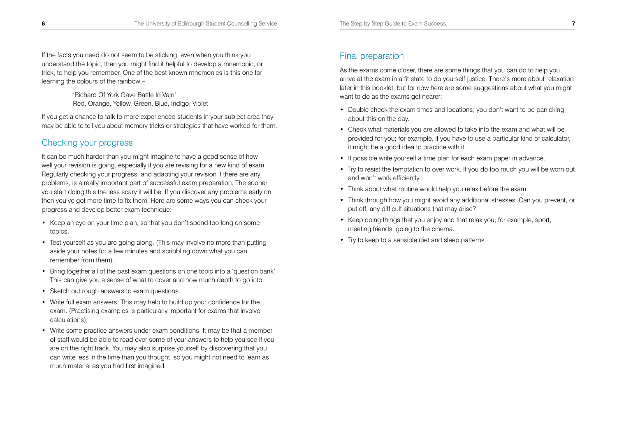If the facts you need do not seem to be sticking, even when you think you understand the topic, then you might find it helpful to develop a mnemonic, or trick, to help you remember. One of the best known mnemonics is this one for learning the colours of the rainbow –

> 'Richard Of York Gave Battle In Vain' Red, Orange, Yellow, Green, Blue, Indigo, Violet

If you get a chance to talk to more experienced students in your subject area they may be able to tell you about memory tricks or strategies that have worked for them.

### Checking your progress

It can be much harder than you might imagine to have a good sense of how well your revision is going, especially if you are revising for a new kind of exam. Regularly checking your progress, and adapting your revision if there are any problems, is a really important part of successful exam preparation. The sooner you start doing this the less scary it will be. If you discover any problems early on then you've got more time to fix them. Here are some ways you can check your progress and develop better exam technique:

- Keep an eye on your time plan, so that you don't spend too long on some topics.
- Test yourself as you are going along. (This may involve no more than putting aside your notes for a few minutes and scribbling down what you can remember from them).
- Bring together all of the past exam questions on one topic into a 'question bank'. This can give you a sense of what to cover and how much depth to go into.
- Sketch out rough answers to exam questions.
- Write full exam answers. This may help to build up your confidence for the exam. (Practising examples is particularly important for exams that involve calculations).
- Write some practice answers under exam conditions. It may be that a member of staff would be able to read over some of your answers to help you see if you are on the right track. You may also surprise yourself by discovering that you can write less in the time than you thought, so you might not need to learn as much material as you had first imagined.

## Final preparation

As the exams come closer, there are some things that you can do to help you arrive at the exam in a fit state to do yourself justice. There's more about relaxation later in this booklet, but for now here are some suggestions about what you might want to do as the exams get nearer:

- Double check the exam times and locations; you don't want to be panicking about this on the day.
- Check what materials you are allowed to take into the exam and what will be provided for you; for example, if you have to use a particular kind of calculator, it might be a good idea to practice with it.
- If possible write yourself a time plan for each exam paper in advance.
- Try to resist the temptation to over work. If you do too much you will be worn out and won't work efficiently.
- Think about what routine would help you relax before the exam.
- Think through how you might avoid any additional stresses. Can you prevent, or put off, any difficult situations that may arise?
- Keep doing things that you enjoy and that relax you; for example, sport, meeting friends, going to the cinema.
- Try to keep to a sensible diet and sleep patterns.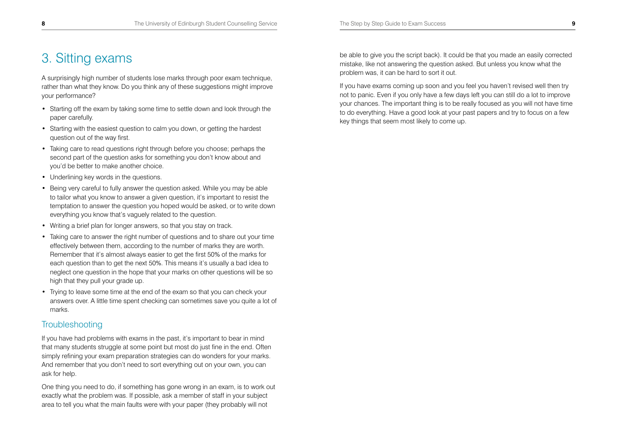## 3. Sitting exams

A surprisingly high number of students lose marks through poor exam technique, rather than what they know. Do you think any of these suggestions might improve your performance?

- Starting off the exam by taking some time to settle down and look through the paper carefully.
- Starting with the easiest question to calm you down, or getting the hardest question out of the way first.
- Taking care to read questions right through before you choose; perhaps the second part of the question asks for something you don't know about and you'd be better to make another choice.
- Underlining key words in the questions.
- Being very careful to fully answer the question asked. While you may be able to tailor what you know to answer a given question, it's important to resist the temptation to answer the question you hoped would be asked, or to write down everything you know that's vaguely related to the question.
- Writing a brief plan for longer answers, so that you stay on track.
- Taking care to answer the right number of questions and to share out your time effectively between them, according to the number of marks they are worth. Remember that it's almost always easier to get the first 50% of the marks for each question than to get the next 50%. This means it's usually a bad idea to neglect one question in the hope that your marks on other questions will be so high that they pull your grade up.
- Trying to leave some time at the end of the exam so that you can check your answers over. A little time spent checking can sometimes save you quite a lot of marks.

#### **Troubleshooting**

If you have had problems with exams in the past, it's important to bear in mind that many students struggle at some point but most do just fine in the end. Often simply refining your exam preparation strategies can do wonders for your marks. And remember that you don't need to sort everything out on your own, you can ask for help.

One thing you need to do, if something has gone wrong in an exam, is to work out exactly what the problem was. If possible, ask a member of staff in your subject area to tell you what the main faults were with your paper (they probably will not

be able to give you the script back). It could be that you made an easily corrected mistake, like not answering the question asked. But unless you know what the problem was, it can be hard to sort it out.

If you have exams coming up soon and you feel you haven't revised well then try not to panic. Even if you only have a few days left you can still do a lot to improve your chances. The important thing is to be really focused as you will not have time to do everything. Have a good look at your past papers and try to focus on a few key things that seem most likely to come up.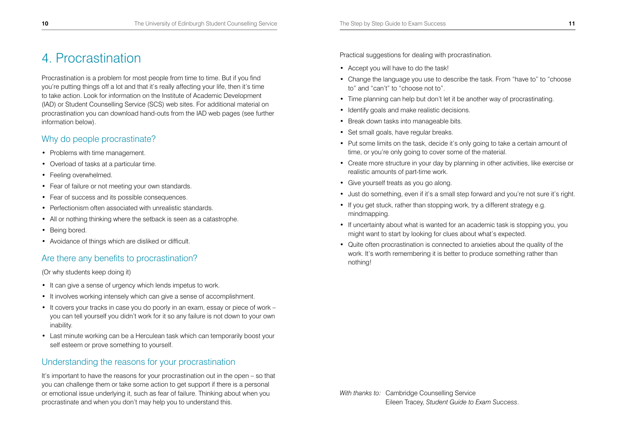## 4. Procrastination

Procrastination is a problem for most people from time to time. But if you find you're putting things off a lot and that it's really affecting your life, then it's time to take action. Look for information on the Institute of Academic Development (IAD) or Student Counselling Service (SCS) web sites. For additional material on procrastination you can download hand-outs from the IAD web pages (see further information below).

#### Why do people procrastinate?

- Problems with time management.
- Overload of tasks at a particular time.
- Feeling overwhelmed.
- Fear of failure or not meeting your own standards.
- Fear of success and its possible consequences.
- Perfectionism often associated with unrealistic standards.
- All or nothing thinking where the setback is seen as a catastrophe.
- Being bored.
- Avoidance of things which are disliked or difficult.

## Are there any benefits to procrastination?

(Or why students keep doing it)

- It can give a sense of urgency which lends impetus to work.
- It involves working intensely which can give a sense of accomplishment.
- It covers your tracks in case you do poorly in an exam, essay or piece of work you can tell yourself you didn't work for it so any failure is not down to your own inability.
- Last minute working can be a Herculean task which can temporarily boost your self esteem or prove something to yourself.

## Understanding the reasons for your procrastination

It's important to have the reasons for your procrastination out in the open – so that you can challenge them or take some action to get support if there is a personal or emotional issue underlying it, such as fear of failure. Thinking about when you procrastinate and when you don't may help you to understand this.

Practical suggestions for dealing with procrastination.

- Accept you will have to do the task!
- Change the language you use to describe the task. From "have to" to "choose to" and "can't" to "choose not to".
- Time planning can help but don't let it be another way of procrastinating.
- Identify goals and make realistic decisions.
- Break down tasks into manageable bits.
- Set small goals, have regular breaks.
- Put some limits on the task, decide it's only going to take a certain amount of time, or you're only going to cover some of the material.
- Create more structure in your day by planning in other activities, like exercise or realistic amounts of part-time work.
- Give yourself treats as you go along.
- Just do something, even if it's a small step forward and you're not sure it's right.
- If you get stuck, rather than stopping work, try a different strategy e.g. mindmapping.
- If uncertainty about what is wanted for an academic task is stopping you, you might want to start by looking for clues about what's expected.
- Quite often procrastination is connected to anxieties about the quality of the work. It's worth remembering it is better to produce something rather than nothing!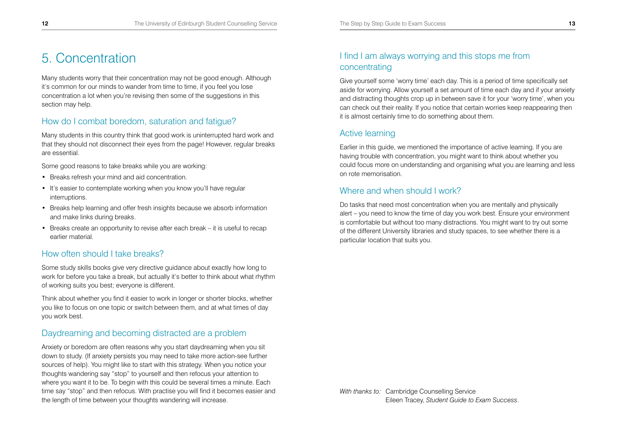## 5. Concentration

Many students worry that their concentration may not be good enough. Although it's common for our minds to wander from time to time, if you feel you lose concentration a lot when you're revising then some of the suggestions in this section may help.

#### How do I combat boredom, saturation and fatigue?

Many students in this country think that good work is uninterrupted hard work and that they should not disconnect their eyes from the page! However, regular breaks are essential.

Some good reasons to take breaks while you are working:

- Breaks refresh your mind and aid concentration.
- It's easier to contemplate working when you know you'll have regular interruptions.
- Breaks help learning and offer fresh insights because we absorb information and make links during breaks.
- Breaks create an opportunity to revise after each break it is useful to recap earlier material.

#### How often should I take breaks?

Some study skills books give very directive guidance about exactly how long to work for before you take a break, but actually it's better to think about what rhythm of working suits you best; everyone is different.

Think about whether you find it easier to work in longer or shorter blocks, whether you like to focus on one topic or switch between them, and at what times of day you work best.

#### Daydreaming and becoming distracted are a problem

Anxiety or boredom are often reasons why you start daydreaming when you sit down to study. (If anxiety persists you may need to take more action-see further sources of help). You might like to start with this strategy. When you notice your thoughts wandering say "stop" to yourself and then refocus your attention to where you want it to be. To begin with this could be several times a minute. Each time say "stop" and then refocus. With practise you will find it becomes easier and the length of time between your thoughts wandering will increase.

### I find I am always worrying and this stops me from concentrating

Give yourself some 'worry time' each day. This is a period of time specifically set aside for worrying. Allow yourself a set amount of time each day and if your anxiety and distracting thoughts crop up in between save it for your 'worry time', when you can check out their reality. If you notice that certain worries keep reappearing then it is almost certainly time to do something about them.

#### Active learning

Earlier in this guide, we mentioned the importance of active learning. If you are having trouble with concentration, you might want to think about whether you could focus more on understanding and organising what you are learning and less on rote memorisation.

#### Where and when should I work?

Do tasks that need most concentration when you are mentally and physically alert – you need to know the time of day you work best. Ensure your environment is comfortable but without too many distractions. You might want to try out some of the different University libraries and study spaces, to see whether there is a particular location that suits you.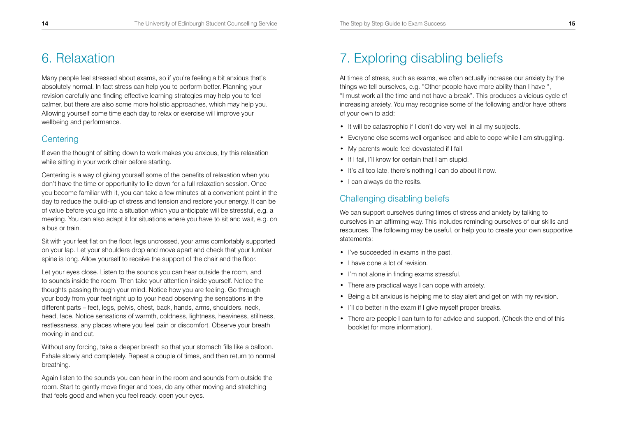## 6. Relaxation

Many people feel stressed about exams, so if you're feeling a bit anxious that's absolutely normal. In fact stress can help you to perform better. Planning your revision carefully and finding effective learning strategies may help you to feel calmer, but there are also some more holistic approaches, which may help you. Allowing yourself some time each day to relax or exercise will improve your wellbeing and performance.

### **Centering**

If even the thought of sitting down to work makes you anxious, try this relaxation while sitting in your work chair before starting.

Centering is a way of giving yourself some of the benefits of relaxation when you don't have the time or opportunity to lie down for a full relaxation session. Once you become familiar with it, you can take a few minutes at a convenient point in the day to reduce the build-up of stress and tension and restore your energy. It can be of value before you go into a situation which you anticipate will be stressful, e.g. a meeting. You can also adapt it for situations where you have to sit and wait, e.g. on a bus or train.

Sit with your feet flat on the floor, legs uncrossed, your arms comfortably supported on your lap. Let your shoulders drop and move apart and check that your lumbar spine is long. Allow yourself to receive the support of the chair and the floor.

Let your eyes close. Listen to the sounds you can hear outside the room, and to sounds inside the room. Then take your attention inside yourself. Notice the thoughts passing through your mind. Notice how you are feeling. Go through your body from your feet right up to your head observing the sensations in the different parts – feet, legs, pelvis, chest, back, hands, arms, shoulders, neck, head, face. Notice sensations of warmth, coldness, lightness, heaviness, stillness, restlessness, any places where you feel pain or discomfort. Observe your breath moving in and out.

Without any forcing, take a deeper breath so that your stomach fills like a balloon. Exhale slowly and completely. Repeat a couple of times, and then return to normal breathing.

Again listen to the sounds you can hear in the room and sounds from outside the room. Start to gently move finger and toes, do any other moving and stretching that feels good and when you feel ready, open your eyes.

## 7. Exploring disabling beliefs

At times of stress, such as exams, we often actually increase our anxiety by the things we tell ourselves, e.g. "Other people have more ability than I have ", "I must work all the time and not have a break". This produces a vicious cycle of increasing anxiety. You may recognise some of the following and/or have others of your own to add:

- It will be catastrophic if I don't do very well in all my subjects.
- Everyone else seems well organised and able to cope while I am struggling.
- My parents would feel devastated if I fail.
- If I fail, I'll know for certain that I am stupid.
- It's all too late, there's nothing I can do about it now.
- I can always do the resits.

### Challenging disabling beliefs

We can support ourselves during times of stress and anxiety by talking to ourselves in an affirming way. This includes reminding ourselves of our skills and resources. The following may be useful, or help you to create your own supportive statements:

- I've succeeded in exams in the past.
- I have done a lot of revision.
- I'm not alone in finding exams stressful.
- There are practical ways I can cope with anxiety.
- Being a bit anxious is helping me to stay alert and get on with my revision.
- I'll do better in the exam if I give myself proper breaks.
- There are people I can turn to for advice and support. (Check the end of this booklet for more information).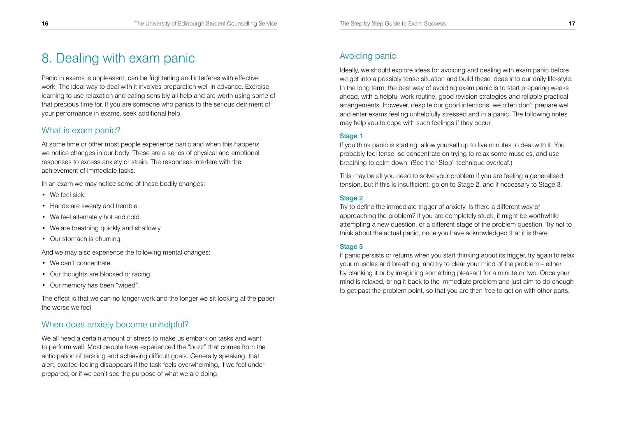## 8. Dealing with exam panic

Panic in exams is unpleasant, can be frightening and interferes with effective work. The ideal way to deal with it involves preparation well in advance. Exercise, learning to use relaxation and eating sensibly all help and are worth using some of that precious time for. If you are someone who panics to the serious detriment of your performance in exams, seek additional help.

### What is exam panic?

At some time or other most people experience panic and when this happens we notice changes in our body. These are a series of physical and emotional responses to excess anxiety or strain. The responses interfere with the achievement of immediate tasks.

In an exam we may notice some of these bodily changes:

- We feel sick.
- Hands are sweaty and tremble.
- We feel alternately hot and cold.
- We are breathing quickly and shallowly.
- Our stomach is churning.

And we may also experience the following mental changes:

- We can't concentrate.
- Our thoughts are blocked or racing.
- Our memory has been "wiped".

The effect is that we can no longer work and the longer we sit looking at the paper the worse we feel.

#### When does anxiety become unhelpful?

We all need a certain amount of stress to make us embark on tasks and want to perform well. Most people have experienced the "buzz" that comes from the anticipation of tackling and achieving difficult goals. Generally speaking, that alert, excited feeling disappears if the task feels overwhelming, if we feel under prepared, or if we can't see the purpose of what we are doing.

## Avoiding panic

Ideally, we should explore ideas for avoiding and dealing with exam panic before we get into a possibly tense situation and build these ideas into our daily life-style. In the long term, the best way of avoiding exam panic is to start preparing weeks ahead, with a helpful work routine, good revision strategies and reliable practical arrangements. However, despite our good intentions, we often don't prepare well and enter exams feeling unhelpfully stressed and in a panic. The following notes may help you to cope with such feelings if they occur.

#### Stage 1

If you think panic is starting, allow yourself up to five minutes to deal with it. You probably feel tense, so concentrate on trying to relax some muscles, and use breathing to calm down. (See the "Stop" technique overleaf.)

This may be all you need to solve your problem if you are feeling a generalised tension, but if this is insufficient, go on to Stage 2, and if necessary to Stage 3.

#### Stage 2

Try to define the immediate trigger of anxiety. Is there a different way of approaching the problem? If you are completely stuck, it might be worthwhile attempting a new question, or a different stage of the problem question. Try not to think about the actual panic, once you have acknowledged that it is there.

#### Stage 3

If panic persists or returns when you start thinking about its trigger, try again to relax your muscles and breathing, and try to clear your mind of the problem – either by blanking it or by imagining something pleasant for a minute or two. Once your mind is relaxed, bring it back to the immediate problem and just aim to do enough to get past the problem point, so that you are then free to get on with other parts.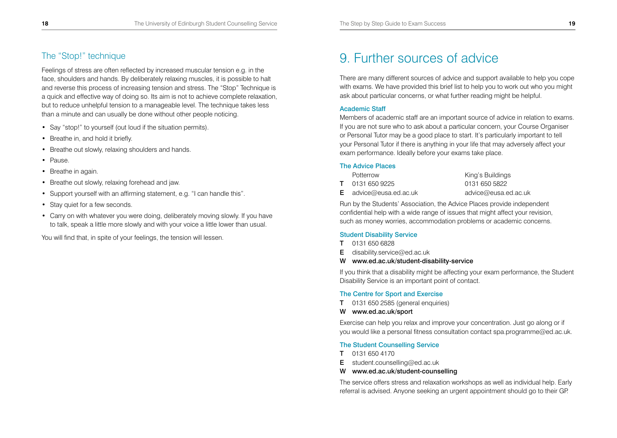### The "Stop!" technique

Feelings of stress are often reflected by increased muscular tension e.g. in the face, shoulders and hands. By deliberately relaxing muscles, it is possible to halt and reverse this process of increasing tension and stress. The "Stop" Technique is a quick and effective way of doing so. Its aim is not to achieve complete relaxation, but to reduce unhelpful tension to a manageable level. The technique takes less than a minute and can usually be done without other people noticing.

- Say "stop!" to yourself (out loud if the situation permits).
- Breathe in, and hold it briefly.
- Breathe out slowly, relaxing shoulders and hands.
- Pause.
- Breathe in again.
- Breathe out slowly, relaxing forehead and jaw.
- Support yourself with an affirming statement, e.g. "I can handle this".
- Stay quiet for a few seconds.
- Carry on with whatever you were doing, deliberately moving slowly. If you have to talk, speak a little more slowly and with your voice a little lower than usual.

You will find that, in spite of your feelings, the tension will lessen.

## 9. Further sources of advice

There are many different sources of advice and support available to help you cope with exams. We have provided this brief list to help you to work out who you might ask about particular concerns, or what further reading might be helpful.

#### Academic Staff

Members of academic staff are an important source of advice in relation to exams. If you are not sure who to ask about a particular concern, your Course Organiser or Personal Tutor may be a good place to start. It's particularly important to tell your Personal Tutor if there is anything in your life that may adversely affect your exam performance. Ideally before your exams take place.

#### The Advice Places

| Potterrow                     | King's Buildings     |
|-------------------------------|----------------------|
| <b>T</b> 0131 650 9225        | 0131 650 5822        |
| <b>E</b> advice@eusa.ed.ac.uk | advice@eusa.ed.ac.uk |

Run by the Students' Association, the Advice Places provide independent confidential help with a wide range of issues that might affect your revision, such as money worries, accommodation problems or academic concerns.

#### Student Disability Service

- T 0131 650 6828
- **E** disability.service@ed.ac.uk
- W www.ed.ac.uk/student-disability-service

If you think that a disability might be affecting your exam performance, the Student Disability Service is an important point of contact.

#### The Centre for Sport and Exercise

- T 0131 650 2585 (general enquiries)
- W www.ed.ac.uk/sport

Exercise can help you relax and improve your concentration. Just go along or if you would like a personal fitness consultation contact spa.programme@ed.ac.uk.

#### The Student Counselling Service

- T 0131 650 4170
- **E** student.counselling@ed.ac.uk
- W www.ed.ac.uk/student-counselling

The service offers stress and relaxation workshops as well as individual help. Early referral is advised. Anyone seeking an urgent appointment should go to their GP.